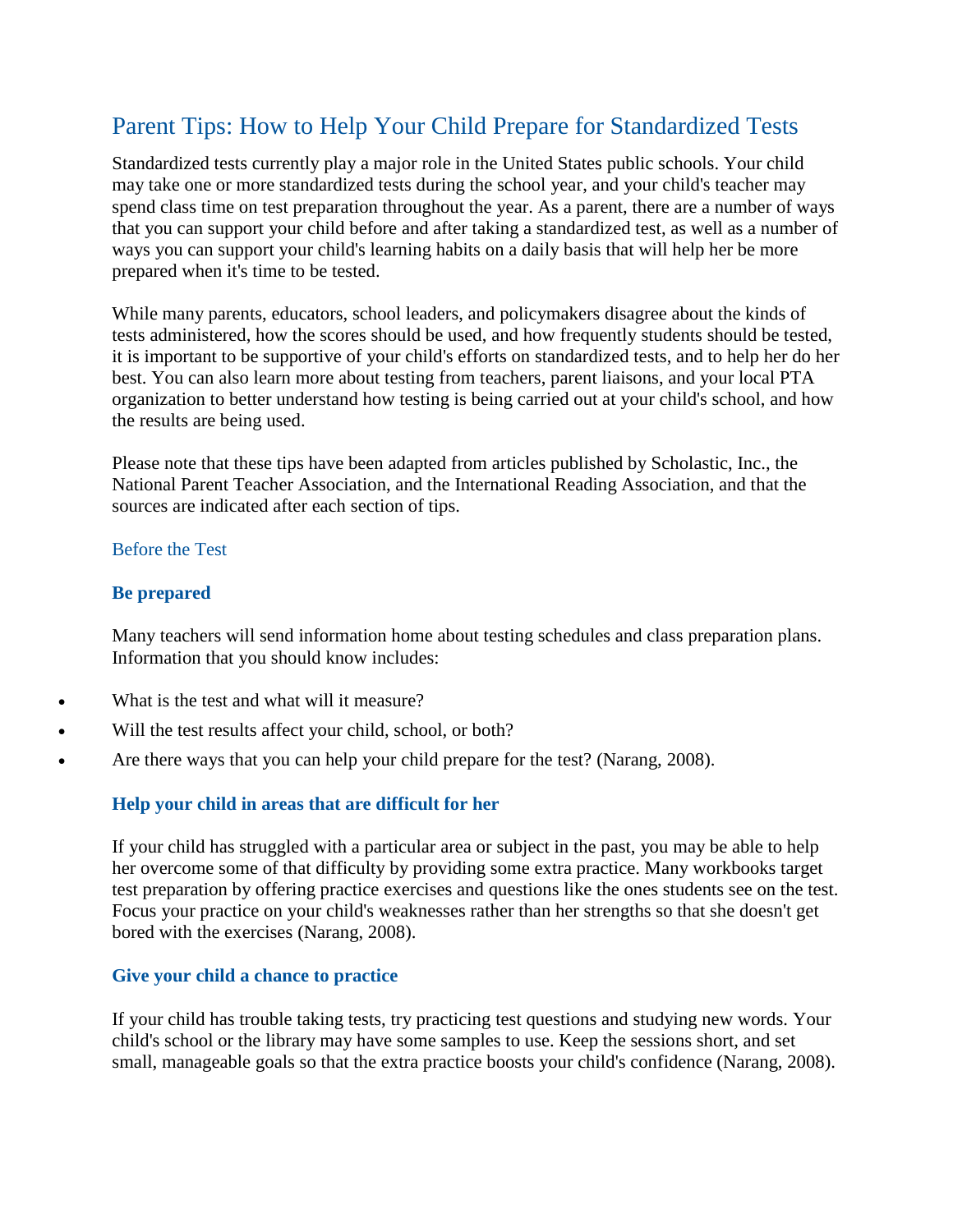# Parent Tips: How to Help Your Child Prepare for Standardized Tests

Standardized tests currently play a major role in the United States public schools. Your child may take one or more standardized tests during the school year, and your child's teacher may spend class time on test preparation throughout the year. As a parent, there are a number of ways that you can support your child before and after taking a standardized test, as well as a number of ways you can support your child's learning habits on a daily basis that will help her be more prepared when it's time to be tested.

While many parents, educators, school leaders, and policymakers disagree about the kinds of tests administered, how the scores should be used, and how frequently students should be tested, it is important to be supportive of your child's efforts on standardized tests, and to help her do her best. You can also learn more about testing from teachers, parent liaisons, and your local PTA organization to better understand how testing is being carried out at your child's school, and how the results are being used.

Please note that these tips have been adapted from articles published by Scholastic, Inc., the National Parent Teacher Association, and the International Reading Association, and that the sources are indicated after each section of tips.

### Before the Test

## **Be prepared**

Many teachers will send information home about testing schedules and class preparation plans. Information that you should know includes:

- What is the test and what will it measure?
- Will the test results affect your child, school, or both?
- Are there ways that you can help your child prepare for the test? (Narang, 2008).

## **Help your child in areas that are difficult for her**

If your child has struggled with a particular area or subject in the past, you may be able to help her overcome some of that difficulty by providing some extra practice. Many workbooks target test preparation by offering practice exercises and questions like the ones students see on the test. Focus your practice on your child's weaknesses rather than her strengths so that she doesn't get bored with the exercises (Narang, 2008).

## **Give your child a chance to practice**

If your child has trouble taking tests, try practicing test questions and studying new words. Your child's school or the library may have some samples to use. Keep the sessions short, and set small, manageable goals so that the extra practice boosts your child's confidence (Narang, 2008).